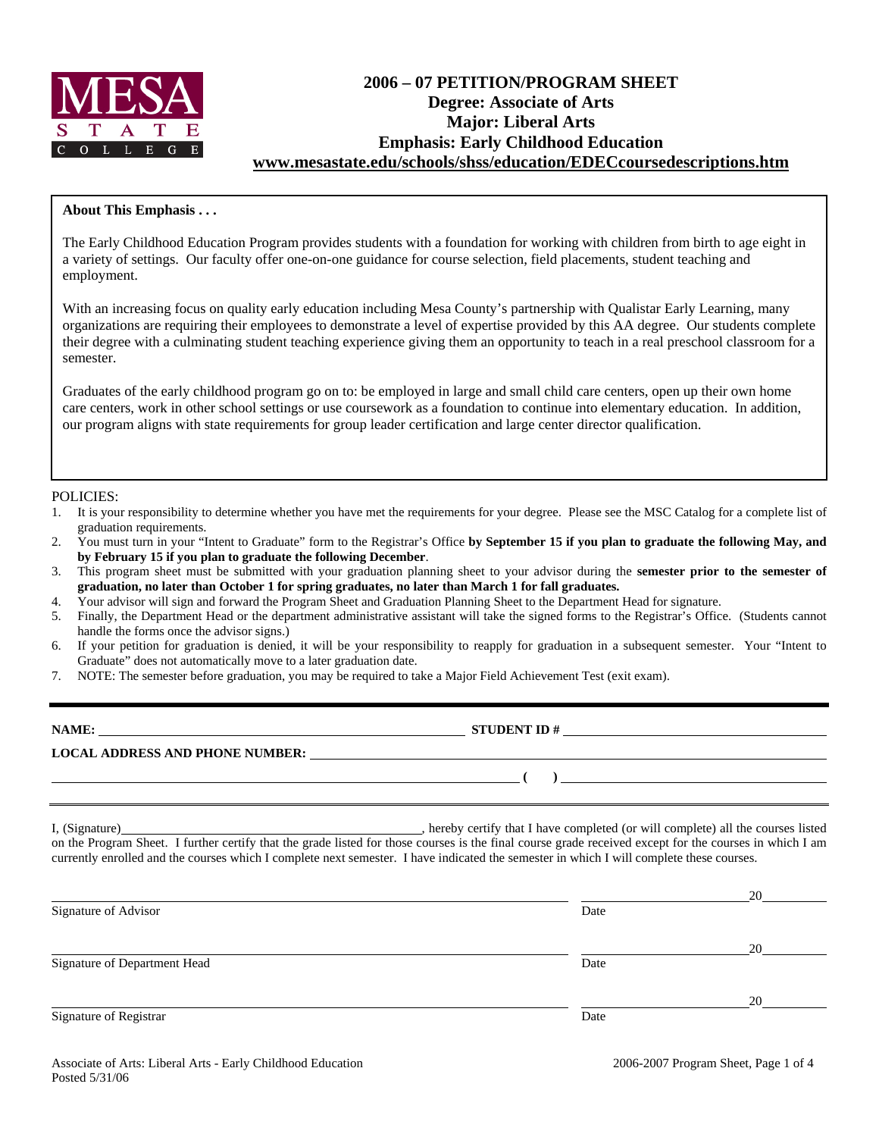

# **2006 – 07 PETITION/PROGRAM SHEET Degree: Associate of Arts Major: Liberal Arts Emphasis: Early Childhood Education www.mesastate.edu/schools/shss/education/EDECcoursedescriptions.htm**

#### **About This Emphasis . . .**

The Early Childhood Education Program provides students with a foundation for working with children from birth to age eight in a variety of settings. Our faculty offer one-on-one guidance for course selection, field placements, student teaching and employment.

With an increasing focus on quality early education including Mesa County's partnership with Qualistar Early Learning, many organizations are requiring their employees to demonstrate a level of expertise provided by this AA degree. Our students complete their degree with a culminating student teaching experience giving them an opportunity to teach in a real preschool classroom for a semester.

Graduates of the early childhood program go on to: be employed in large and small child care centers, open up their own home care centers, work in other school settings or use coursework as a foundation to continue into elementary education. In addition, our program aligns with state requirements for group leader certification and large center director qualification.

#### POLICIES:

- 1. It is your responsibility to determine whether you have met the requirements for your degree. Please see the MSC Catalog for a complete list of graduation requirements.
- 2. You must turn in your "Intent to Graduate" form to the Registrar's Office **by September 15 if you plan to graduate the following May, and by February 15 if you plan to graduate the following December**.
- 3. This program sheet must be submitted with your graduation planning sheet to your advisor during the **semester prior to the semester of graduation, no later than October 1 for spring graduates, no later than March 1 for fall graduates.**
- 4. Your advisor will sign and forward the Program Sheet and Graduation Planning Sheet to the Department Head for signature.
- 5. Finally, the Department Head or the department administrative assistant will take the signed forms to the Registrar's Office. (Students cannot handle the forms once the advisor signs.)
- 6. If your petition for graduation is denied, it will be your responsibility to reapply for graduation in a subsequent semester. Your "Intent to Graduate" does not automatically move to a later graduation date.
- 7. NOTE: The semester before graduation, you may be required to take a Major Field Achievement Test (exit exam).

| NAME:<br><b>LOCAL ADDRESS AND PHONE NUMBER:</b> | <b>STUDENT ID#</b> |  |
|-------------------------------------------------|--------------------|--|
|                                                 |                    |  |

I, (Signature) , hereby certify that I have completed (or will complete) all the courses listed on the Program Sheet. I further certify that the grade listed for those courses is the final course grade received except for the courses in which I am currently enrolled and the courses which I complete next semester. I have indicated the semester in which I will complete these courses.

|                              |      | 20 |
|------------------------------|------|----|
| Signature of Advisor         | Date |    |
|                              |      | 20 |
| Signature of Department Head | Date |    |
|                              |      | 20 |
| Signature of Registrar       | Date |    |
|                              |      |    |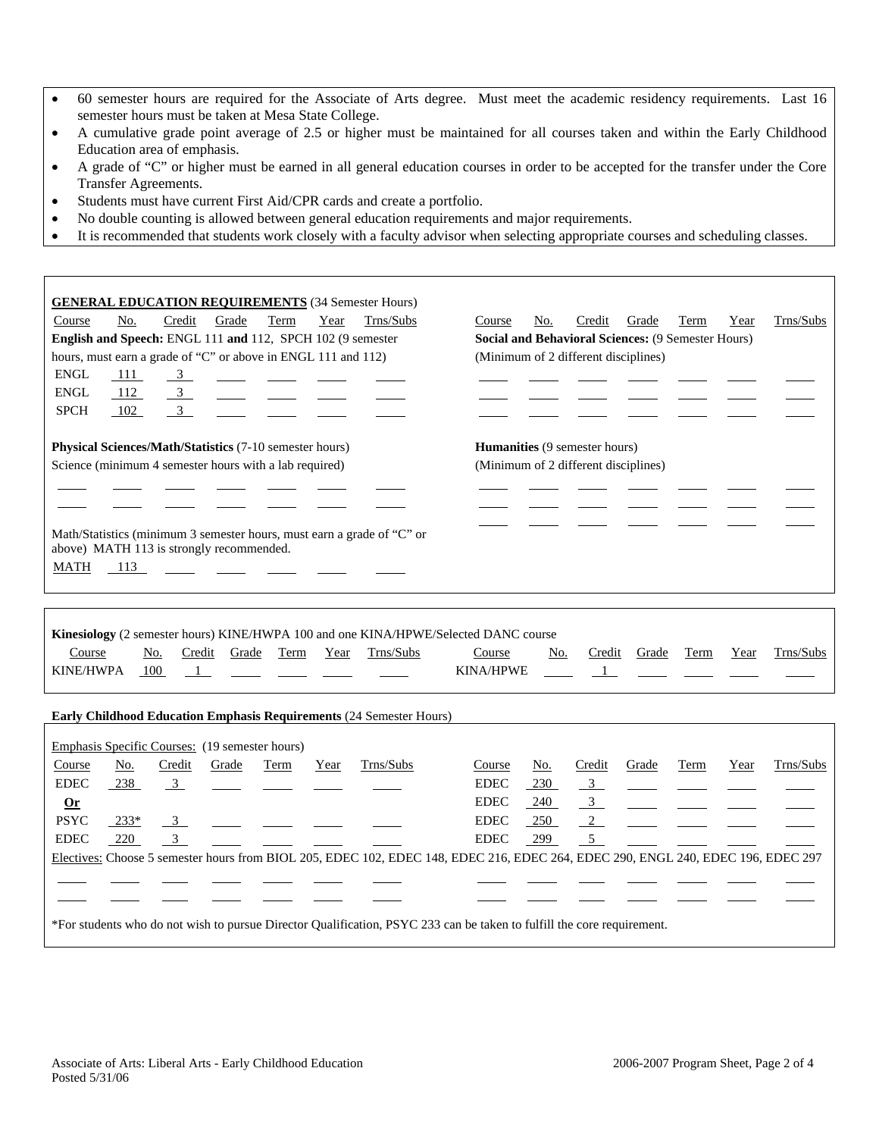- 60 semester hours are required for the Associate of Arts degree. Must meet the academic residency requirements. Last 16 semester hours must be taken at Mesa State College.
- A cumulative grade point average of 2.5 or higher must be maintained for all courses taken and within the Early Childhood Education area of emphasis.
- A grade of "C" or higher must be earned in all general education courses in order to be accepted for the transfer under the Core Transfer Agreements.
- Students must have current First Aid/CPR cards and create a portfolio.
- No double counting is allowed between general education requirements and major requirements.
- It is recommended that students work closely with a faculty advisor when selecting appropriate courses and scheduling classes.

| <b>GENERAL EDUCATION REQUIREMENTS (34 Semester Hours)</b>     |            |                         |       |                                                                                                                                                                                                                                      |      |                                                                                                  |                            |            |                                                    |       |      |      |           |
|---------------------------------------------------------------|------------|-------------------------|-------|--------------------------------------------------------------------------------------------------------------------------------------------------------------------------------------------------------------------------------------|------|--------------------------------------------------------------------------------------------------|----------------------------|------------|----------------------------------------------------|-------|------|------|-----------|
| Course                                                        | No.        | Credit                  | Grade | Term                                                                                                                                                                                                                                 | Year | Trns/Subs                                                                                        | Course                     | No.        | Credit                                             | Grade | Term | Year | Trns/Subs |
| English and Speech: ENGL 111 and 112, SPCH 102 (9 semester    |            |                         |       |                                                                                                                                                                                                                                      |      |                                                                                                  |                            |            | Social and Behavioral Sciences: (9 Semester Hours) |       |      |      |           |
| hours, must earn a grade of "C" or above in ENGL 111 and 112) |            |                         |       |                                                                                                                                                                                                                                      |      |                                                                                                  |                            |            | (Minimum of 2 different disciplines)               |       |      |      |           |
| <b>ENGL</b>                                                   | 111        | $\frac{3}{2}$           |       | <u>and the state of the state of the state of the state of the state of the state of the state of the state of the state of the state of the state of the state of the state of the state of the state of the state of the state</u> |      |                                                                                                  |                            |            |                                                    |       |      |      |           |
| <b>ENGL</b>                                                   | 112        | $\overline{\mathbf{3}}$ |       |                                                                                                                                                                                                                                      |      |                                                                                                  |                            |            |                                                    |       |      |      |           |
| <b>SPCH</b>                                                   | 102        | $\overline{3}$          |       |                                                                                                                                                                                                                                      |      |                                                                                                  |                            |            |                                                    |       |      |      |           |
|                                                               |            |                         |       |                                                                                                                                                                                                                                      |      |                                                                                                  |                            |            |                                                    |       |      |      |           |
| Physical Sciences/Math/Statistics (7-10 semester hours)       |            |                         |       |                                                                                                                                                                                                                                      |      |                                                                                                  |                            |            | Humanities (9 semester hours)                      |       |      |      |           |
| Science (minimum 4 semester hours with a lab required)        |            |                         |       |                                                                                                                                                                                                                                      |      |                                                                                                  |                            |            | (Minimum of 2 different disciplines)               |       |      |      |           |
|                                                               |            |                         |       |                                                                                                                                                                                                                                      |      |                                                                                                  |                            |            |                                                    |       |      |      |           |
|                                                               |            |                         |       |                                                                                                                                                                                                                                      |      |                                                                                                  |                            |            |                                                    |       |      |      |           |
| above) MATH 113 is strongly recommended.<br><b>MATH</b>       | 113        |                         |       |                                                                                                                                                                                                                                      |      | Math/Statistics (minimum 3 semester hours, must earn a grade of "C" or                           |                            |            |                                                    |       |      |      |           |
|                                                               |            |                         |       |                                                                                                                                                                                                                                      |      |                                                                                                  |                            |            |                                                    |       |      |      |           |
| Course<br><b>KINE/HWPA</b>                                    | No.<br>100 | Credit<br>- 1           | Grade | Term                                                                                                                                                                                                                                 | Year | Kinesiology (2 semester hours) KINE/HWPA 100 and one KINA/HPWE/Selected DANC course<br>Trns/Subs | Course<br><b>KINA/HPWE</b> | No.        | Credit                                             | Grade | Term | Year | Trns/Subs |
|                                                               |            |                         |       |                                                                                                                                                                                                                                      |      | <b>Early Childhood Education Emphasis Requirements (24 Semester Hours)</b>                       |                            |            |                                                    |       |      |      |           |
|                                                               |            |                         |       |                                                                                                                                                                                                                                      |      |                                                                                                  |                            |            |                                                    |       |      |      |           |
|                                                               |            |                         |       |                                                                                                                                                                                                                                      |      |                                                                                                  |                            |            |                                                    |       |      |      |           |
| Emphasis Specific Courses: (19 semester hours)                |            |                         |       |                                                                                                                                                                                                                                      |      |                                                                                                  |                            |            |                                                    |       |      |      |           |
| Course                                                        | No.        | Credit                  | Grade | Term                                                                                                                                                                                                                                 | Year | Trns/Subs                                                                                        | Course                     | No.        | Credit                                             | Grade | Term | Year | Trns/Subs |
| <b>EDEC</b><br>$Or$                                           | 238        | $\overline{3}$          |       |                                                                                                                                                                                                                                      |      |                                                                                                  | <b>EDEC</b><br><b>EDEC</b> | 230<br>240 | $\overline{3}$<br>$\overline{3}$                   |       |      |      |           |

 $\overline{a}$  $\overline{a}$ 

Electives: Choose 5 semester hours from BIOL 205, EDEC 102, EDEC 148, EDEC 216, EDEC 264, EDEC 290, ENGL 240, EDEC 196, EDEC 297

\*For students who do not wish to pursue Director Qualification, PSYC 233 can be taken to fulfill the core requirement.

EDEC <u>220 3 - metal and the EDEC 299 5</u>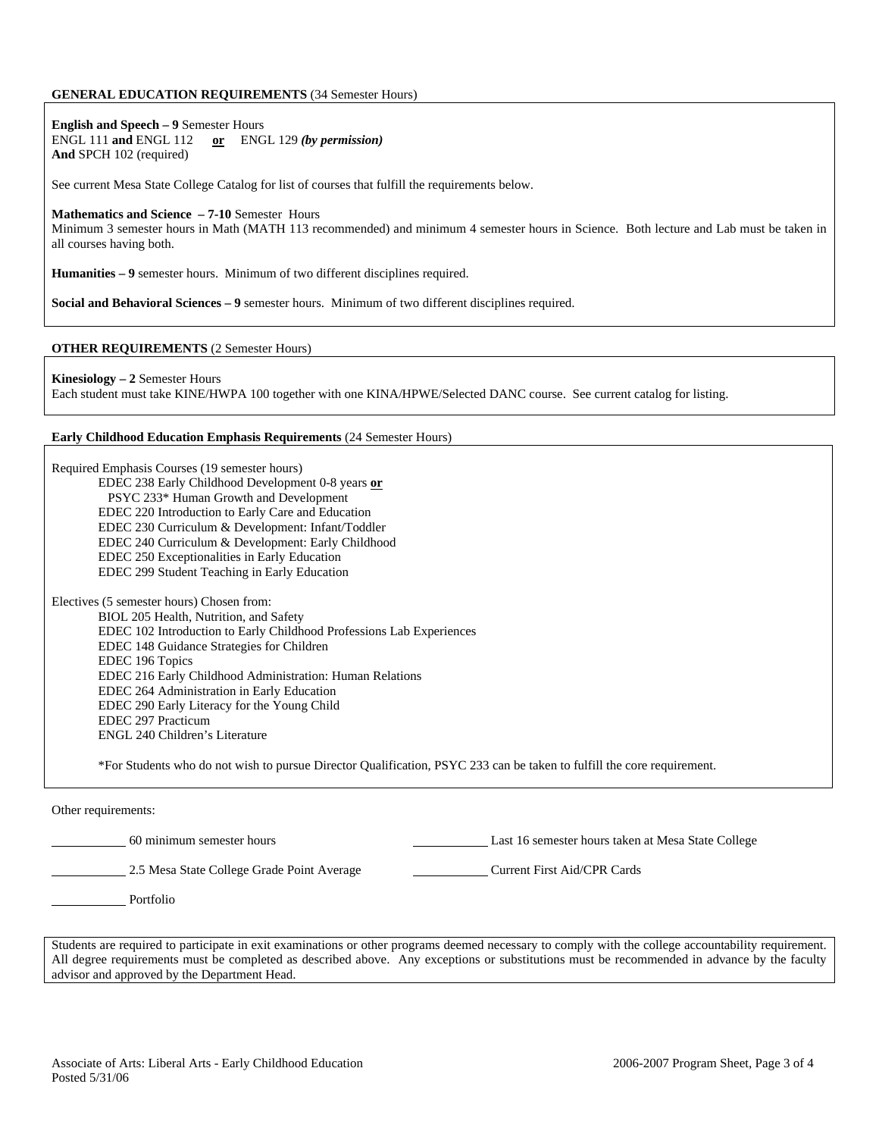#### **GENERAL EDUCATION REQUIREMENTS** (34 Semester Hours)

**English and Speech – 9** Semester Hours ENGL 111 **and** ENGL 112 **or** ENGL 129 *(by permission)* **And** SPCH 102 (required)

See current Mesa State College Catalog for list of courses that fulfill the requirements below.

#### **Mathematics and Science – 7-10** Semester Hours

Minimum 3 semester hours in Math (MATH 113 recommended) and minimum 4 semester hours in Science. Both lecture and Lab must be taken in all courses having both.

**Humanities – 9** semester hours. Minimum of two different disciplines required.

**Social and Behavioral Sciences – 9** semester hours. Minimum of two different disciplines required.

#### **OTHER REQUIREMENTS** (2 Semester Hours)

**Kinesiology – 2** Semester Hours Each student must take KINE/HWPA 100 together with one KINA/HPWE/Selected DANC course. See current catalog for listing.

#### **Early Childhood Education Emphasis Requirements** (24 Semester Hours)

Required Emphasis Courses (19 semester hours) EDEC 238 Early Childhood Development 0-8 years **or** PSYC 233\* Human Growth and Development EDEC 220 Introduction to Early Care and Education EDEC 230 Curriculum & Development: Infant/Toddler EDEC 240 Curriculum & Development: Early Childhood EDEC 250 Exceptionalities in Early Education EDEC 299 Student Teaching in Early Education Electives (5 semester hours) Chosen from: BIOL 205 Health, Nutrition, and Safety EDEC 102 Introduction to Early Childhood Professions Lab Experiences EDEC 148 Guidance Strategies for Children EDEC 196 Topics EDEC 216 Early Childhood Administration: Human Relations EDEC 264 Administration in Early Education EDEC 290 Early Literacy for the Young Child EDEC 297 Practicum ENGL 240 Children's Literature \*For Students who do not wish to pursue Director Qualification, PSYC 233 can be taken to fulfill the core requirement.

Other requirements:

60 minimum semester hours Last 16 semester hours taken at Mesa State College

2.5 Mesa State College Grade Point Average Current First Aid/CPR Cards

Portfolio

Students are required to participate in exit examinations or other programs deemed necessary to comply with the college accountability requirement. All degree requirements must be completed as described above. Any exceptions or substitutions must be recommended in advance by the faculty advisor and approved by the Department Head.